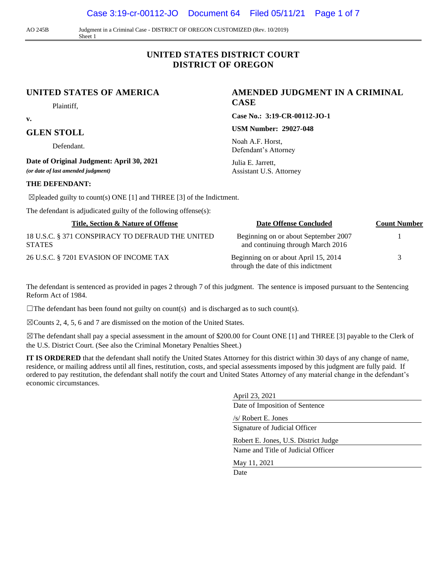Case 3:19-cr-00112-JO Document 64 Filed 05/11/21 Page 1 of 7

AO 245B Judgment in a Criminal Case - DISTRICT OF OREGON CUSTOMIZED (Rev. 10/2019) Sheet 1

# **UNITED STATES DISTRICT COURT DISTRICT OF OREGON**

#### **UNITED STATES OF AMERICA**

Plaintiff,

**v.** 

#### **GLEN STOLL**

Defendant.

**Date of Original Judgment: April 30, 2021**

*(or date of last amended judgment)*

#### **THE DEFENDANT:**

 $\boxtimes$  pleaded guilty to count(s) ONE [1] and THREE [3] of the Indictment.

The defendant is adjudicated guilty of the following offense(s):

| Title, Section & Nature of Offense                                | Date Offense Concluded                                                      | <b>Count Number</b> |
|-------------------------------------------------------------------|-----------------------------------------------------------------------------|---------------------|
| 18 U.S.C. § 371 CONSPIRACY TO DEFRAUD THE UNITED<br><b>STATES</b> | Beginning on or about September 2007<br>and continuing through March 2016   |                     |
| 26 U.S.C. § 7201 EVASION OF INCOME TAX                            | Beginning on or about April 15, 2014<br>through the date of this indictment | 3                   |

The defendant is sentenced as provided in pages 2 through 7 of this judgment. The sentence is imposed pursuant to the Sentencing Reform Act of 1984.

 $\Box$ The defendant has been found not guilty on count(s) and is discharged as to such count(s).

 $\boxtimes$ Counts 2, 4, 5, 6 and 7 are dismissed on the motion of the United States.

☒The defendant shall pay a special assessment in the amount of \$200.00 for Count ONE [1] and THREE [3] payable to the Clerk of the U.S. District Court. (See also the Criminal Monetary Penalties Sheet.)

**IT IS ORDERED** that the defendant shall notify the United States Attorney for this district within 30 days of any change of name, residence, or mailing address until all fines, restitution, costs, and special assessments imposed by this judgment are fully paid. If ordered to pay restitution, the defendant shall notify the court and United States Attorney of any material change in the defendant's economic circumstances.

| April 23, 2021                       |  |
|--------------------------------------|--|
| Date of Imposition of Sentence       |  |
| /s/ Robert E. Jones                  |  |
| Signature of Judicial Officer        |  |
| Robert E. Jones, U.S. District Judge |  |
| Name and Title of Judicial Officer   |  |
| May 11, 2021                         |  |
| Date                                 |  |
|                                      |  |
|                                      |  |

**AMENDED JUDGMENT IN A CRIMINAL CASE**

**Case No.: 3:19-CR-00112-JO-1**

**USM Number: 29027-048**

Noah A.F. Horst, Defendant's Attorney

Julia E. Jarrett, Assistant U.S. Attorney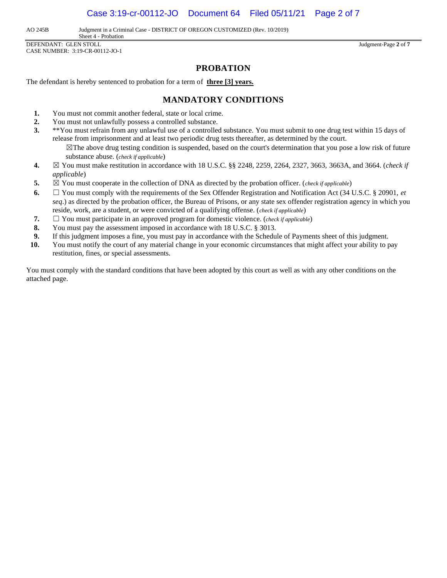Case 3:19-cr-00112-JO Document 64 Filed 05/11/21 Page 2 of 7

AO 245B Judgment in a Criminal Case - DISTRICT OF OREGON CUSTOMIZED (Rev. 10/2019)

Sheet 4 - Probation DEFENDANT: GLEN STOLL Judgment-Page **2** of **7** CASE NUMBER: 3:19-CR-00112-JO-1

## **PROBATION**

The defendant is hereby sentenced to probation for a term of **three [3] years.**

### **MANDATORY CONDITIONS**

- **1.** You must not commit another federal, state or local crime.
- **2.** You must not unlawfully possess a controlled substance.
- **3.** \*\*You must refrain from any unlawful use of a controlled substance. You must submit to one drug test within 15 days of release from imprisonment and at least two periodic drug tests thereafter, as determined by the court.
	- ☒The above drug testing condition is suspended, based on the court's determination that you pose a low risk of future substance abuse. (*check if applicable*)
- **4.** ☒ You must make restitution in accordance with 18 U.S.C. §§ 2248, 2259, 2264, 2327, 3663, 3663A, and 3664. (*check if applicable*)
- **5.**  $\boxtimes$  You must cooperate in the collection of DNA as directed by the probation officer. (*check if applicable*)
- **6.** ☐ You must comply with the requirements of the Sex Offender Registration and Notification Act (34 U.S.C. § 20901, *et seq*.) as directed by the probation officer, the Bureau of Prisons, or any state sex offender registration agency in which you reside, work, are a student, or were convicted of a qualifying offense. (*check if applicable*)
- **7.** ☐ You must participate in an approved program for domestic violence. (*check if applicable*)
- **8.** You must pay the assessment imposed in accordance with 18 U.S.C. § 3013.
- **9.** If this judgment imposes a fine, you must pay in accordance with the Schedule of Payments sheet of this judgment.
- **10.** You must notify the court of any material change in your economic circumstances that might affect your ability to pay restitution, fines, or special assessments.

You must comply with the standard conditions that have been adopted by this court as well as with any other conditions on the attached page.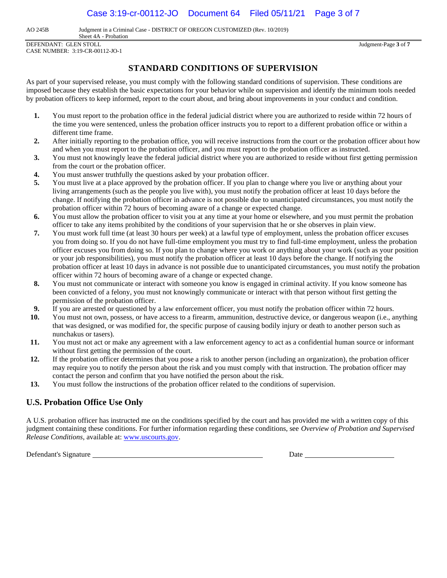AO 245B Judgment in a Criminal Case - DISTRICT OF OREGON CUSTOMIZED (Rev. 10/2019)

Sheet 4A - Probation DEFENDANT: GLEN STOLL Judgment-Page **3** of **7** CASE NUMBER: 3:19-CR-00112-JO-1

# **STANDARD CONDITIONS OF SUPERVISION**

As part of your supervised release, you must comply with the following standard conditions of supervision. These conditions are imposed because they establish the basic expectations for your behavior while on supervision and identify the minimum tools needed by probation officers to keep informed, report to the court about, and bring about improvements in your conduct and condition.

- **1.** You must report to the probation office in the federal judicial district where you are authorized to reside within 72 hours of the time you were sentenced, unless the probation officer instructs you to report to a different probation office or within a different time frame.
- **2.** After initially reporting to the probation office, you will receive instructions from the court or the probation officer about how and when you must report to the probation officer, and you must report to the probation officer as instructed.
- **3.** You must not knowingly leave the federal judicial district where you are authorized to reside without first getting permission from the court or the probation officer.
- **4.** You must answer truthfully the questions asked by your probation officer.
- **5.** You must live at a place approved by the probation officer. If you plan to change where you live or anything about your living arrangements (such as the people you live with), you must notify the probation officer at least 10 days before the change. If notifying the probation officer in advance is not possible due to unanticipated circumstances, you must notify the probation officer within 72 hours of becoming aware of a change or expected change.
- **6.** You must allow the probation officer to visit you at any time at your home or elsewhere, and you must permit the probation officer to take any items prohibited by the conditions of your supervision that he or she observes in plain view.
- **7.** You must work full time (at least 30 hours per week) at a lawful type of employment, unless the probation officer excuses you from doing so. If you do not have full-time employment you must try to find full-time employment, unless the probation officer excuses you from doing so. If you plan to change where you work or anything about your work (such as your position or your job responsibilities), you must notify the probation officer at least 10 days before the change. If notifying the probation officer at least 10 days in advance is not possible due to unanticipated circumstances, you must notify the probation officer within 72 hours of becoming aware of a change or expected change.
- **8.** You must not communicate or interact with someone you know is engaged in criminal activity. If you know someone has been convicted of a felony, you must not knowingly communicate or interact with that person without first getting the permission of the probation officer.
- **9.** If you are arrested or questioned by a law enforcement officer, you must notify the probation officer within 72 hours.
- **10.** You must not own, possess, or have access to a firearm, ammunition, destructive device, or dangerous weapon (i.e., anything that was designed, or was modified for, the specific purpose of causing bodily injury or death to another person such as nunchakus or tasers).
- **11.** You must not act or make any agreement with a law enforcement agency to act as a confidential human source or informant without first getting the permission of the court.
- **12.** If the probation officer determines that you pose a risk to another person (including an organization), the probation officer may require you to notify the person about the risk and you must comply with that instruction. The probation officer may contact the person and confirm that you have notified the person about the risk.
- **13.** You must follow the instructions of the probation officer related to the conditions of supervision.

## **U.S. Probation Office Use Only**

A U.S. probation officer has instructed me on the conditions specified by the court and has provided me with a written copy of this judgment containing these conditions. For further information regarding these conditions, see *Overview of Probation and Supervised Release Conditions*, available at[: www.uscourts.gov.](http://www.uscourts.gov/)

Defendant's Signature Date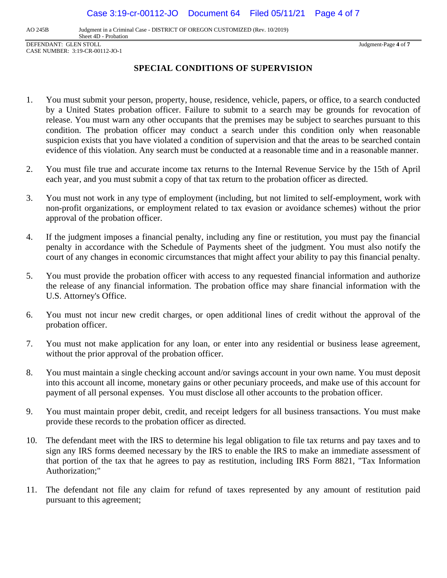Case 3:19-cr-00112-JO Document 64 Filed 05/11/21 Page 4 of 7

AO 245B Judgment in a Criminal Case - DISTRICT OF OREGON CUSTOMIZED (Rev. 10/2019)

Sheet 4D - Probation DEFENDANT: GLEN STOLL Judgment-Page **4** of **7** CASE NUMBER: 3:19-CR-00112-JO-1

## **SPECIAL CONDITIONS OF SUPERVISION**

- 1. You must submit your person, property, house, residence, vehicle, papers, or office, to a search conducted by a United States probation officer. Failure to submit to a search may be grounds for revocation of release. You must warn any other occupants that the premises may be subject to searches pursuant to this condition. The probation officer may conduct a search under this condition only when reasonable suspicion exists that you have violated a condition of supervision and that the areas to be searched contain evidence of this violation. Any search must be conducted at a reasonable time and in a reasonable manner.
- 2. You must file true and accurate income tax returns to the Internal Revenue Service by the 15th of April each year, and you must submit a copy of that tax return to the probation officer as directed.
- 3. You must not work in any type of employment (including, but not limited to self-employment, work with non-profit organizations, or employment related to tax evasion or avoidance schemes) without the prior approval of the probation officer.
- 4. If the judgment imposes a financial penalty, including any fine or restitution, you must pay the financial penalty in accordance with the Schedule of Payments sheet of the judgment. You must also notify the court of any changes in economic circumstances that might affect your ability to pay this financial penalty.
- 5. You must provide the probation officer with access to any requested financial information and authorize the release of any financial information. The probation office may share financial information with the U.S. Attorney's Office.
- 6. You must not incur new credit charges, or open additional lines of credit without the approval of the probation officer.
- 7. You must not make application for any loan, or enter into any residential or business lease agreement, without the prior approval of the probation officer.
- 8. You must maintain a single checking account and/or savings account in your own name. You must deposit into this account all income, monetary gains or other pecuniary proceeds, and make use of this account for payment of all personal expenses. You must disclose all other accounts to the probation officer.
- 9. You must maintain proper debit, credit, and receipt ledgers for all business transactions. You must make provide these records to the probation officer as directed.
- 10. The defendant meet with the IRS to determine his legal obligation to file tax returns and pay taxes and to sign any IRS forms deemed necessary by the IRS to enable the IRS to make an immediate assessment of that portion of the tax that he agrees to pay as restitution, including IRS Form 8821, "Tax Information Authorization;"
- 11. The defendant not file any claim for refund of taxes represented by any amount of restitution paid pursuant to this agreement;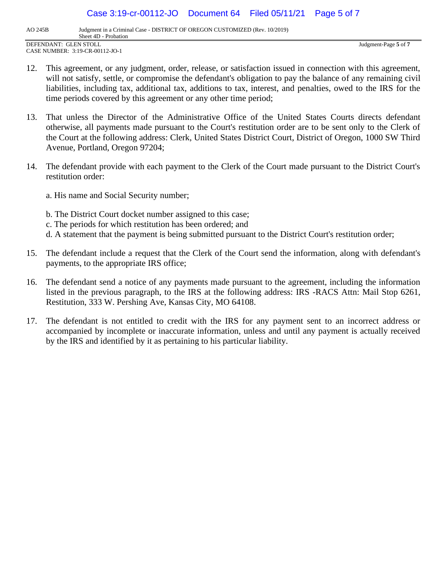Case 3:19-cr-00112-JO Document 64 Filed 05/11/21 Page 5 of 7

AO 245B Judgment in a Criminal Case - DISTRICT OF OREGON CUSTOMIZED (Rev. 10/2019)

Sheet 4D - Probation DEFENDANT: GLEN STOLL Judgment-Page **5** of **7** CASE NUMBER: 3:19-CR-00112-JO-1

- 12. This agreement, or any judgment, order, release, or satisfaction issued in connection with this agreement, will not satisfy, settle, or compromise the defendant's obligation to pay the balance of any remaining civil liabilities, including tax, additional tax, additions to tax, interest, and penalties, owed to the IRS for the time periods covered by this agreement or any other time period;
- 13. That unless the Director of the Administrative Office of the United States Courts directs defendant otherwise, all payments made pursuant to the Court's restitution order are to be sent only to the Clerk of the Court at the following address: Clerk, United States District Court, District of Oregon, 1000 SW Third Avenue, Portland, Oregon 97204;
- 14. The defendant provide with each payment to the Clerk of the Court made pursuant to the District Court's restitution order:
	- a. His name and Social Security number;
	- b. The District Court docket number assigned to this case;
	- c. The periods for which restitution has been ordered; and
	- d. A statement that the payment is being submitted pursuant to the District Court's restitution order;
- 15. The defendant include a request that the Clerk of the Court send the information, along with defendant's payments, to the appropriate IRS office;
- 16. The defendant send a notice of any payments made pursuant to the agreement, including the information listed in the previous paragraph, to the IRS at the following address: IRS -RACS Attn: Mail Stop 6261, Restitution, 333 W. Pershing Ave, Kansas City, MO 64108.
- 17. The defendant is not entitled to credit with the IRS for any payment sent to an incorrect address or accompanied by incomplete or inaccurate information, unless and until any payment is actually received by the IRS and identified by it as pertaining to his particular liability.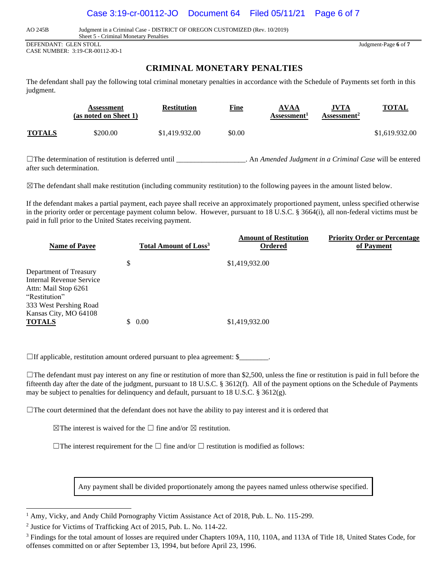#### Case 3:19-cr-00112-JO Document 64 Filed 05/11/21 Page 6 of 7

AO 245B Judgment in a Criminal Case - DISTRICT OF OREGON CUSTOMIZED (Rev. 10/2019)

Sheet 5 - Criminal Monetary Penalties DEFENDANT: GLEN STOLL Judgment-Page **6** of **7**

CASE NUMBER: 3:19-CR-00112-JO-1

## **CRIMINAL MONETARY PENALTIES**

The defendant shall pay the following total criminal monetary penalties in accordance with the Schedule of Payments set forth in this judgment.

|               | Assessment<br>(as noted on Sheet 1) | <b>Restitution</b> | <u>Fine</u> | <b>AVAA</b><br>Assessment <sup>1</sup> | <b>JVTA</b><br>Assessment <sup>2</sup> | <b>TOTAL</b>   |
|---------------|-------------------------------------|--------------------|-------------|----------------------------------------|----------------------------------------|----------------|
| <b>TOTALS</b> | \$200.00                            | \$1,419.932.00     | \$0.00      |                                        |                                        | \$1,619.932.00 |
|               |                                     |                    |             |                                        |                                        |                |

☐The determination of restitution is deferred until \_\_\_\_\_\_\_\_\_\_\_\_\_\_\_\_\_\_\_. An *Amended Judgment in a Criminal Case* will be entered after such determination.

 $\boxtimes$ The defendant shall make restitution (including community restitution) to the following payees in the amount listed below.

If the defendant makes a partial payment, each payee shall receive an approximately proportioned payment, unless specified otherwise in the priority order or percentage payment column below. However, pursuant to 18 U.S.C. § 3664(i), all non-federal victims must be paid in full prior to the United States receiving payment.

| <b>Name of Payee</b>                                                                                                  | <b>Total Amount of Loss<sup>3</sup></b> | <b>Amount of Restitution</b><br>Ordered | <b>Priority Order or Percentage</b><br>of Payment |
|-----------------------------------------------------------------------------------------------------------------------|-----------------------------------------|-----------------------------------------|---------------------------------------------------|
|                                                                                                                       | \$                                      | \$1,419,932.00                          |                                                   |
| Department of Treasury<br>Internal Revenue Service<br>Attn: Mail Stop 6261<br>"Restitution"<br>333 West Pershing Road |                                         |                                         |                                                   |
| Kansas City, MO 64108<br><b>TOTALS</b>                                                                                | 0.00                                    | \$1,419,932.00                          |                                                   |

 $\Box$  If applicable, restitution amount ordered pursuant to plea agreement: \$\_\_\_\_\_\_\_\_.

 $\Box$ The defendant must pay interest on any fine or restitution of more than \$2,500, unless the fine or restitution is paid in full before the fifteenth day after the date of the judgment, pursuant to 18 U.S.C. § 3612(f). All of the payment options on the Schedule of Payments may be subject to penalties for delinquency and default, pursuant to 18 U.S.C. § 3612(g).

 $\Box$ The court determined that the defendant does not have the ability to pay interest and it is ordered that

 $\boxtimes$ The interest is waived for the  $\square$  fine and/or  $\boxtimes$  restitution.

 $\Box$ The interest requirement for the  $\Box$  fine and/or  $\Box$  restitution is modified as follows:

Any payment shall be divided proportionately among the payees named unless otherwise specified.

<sup>&</sup>lt;sup>1</sup> Amy, Vicky, and Andy Child Pornography Victim Assistance Act of 2018, Pub. L. No. 115-299.

<sup>2</sup> Justice for Victims of Trafficking Act of 2015, Pub. L. No. 114-22.

<sup>&</sup>lt;sup>3</sup> Findings for the total amount of losses are required under Chapters 109A, 110, 110A, and 113A of Title 18, United States Code, for offenses committed on or after September 13, 1994, but before April 23, 1996.